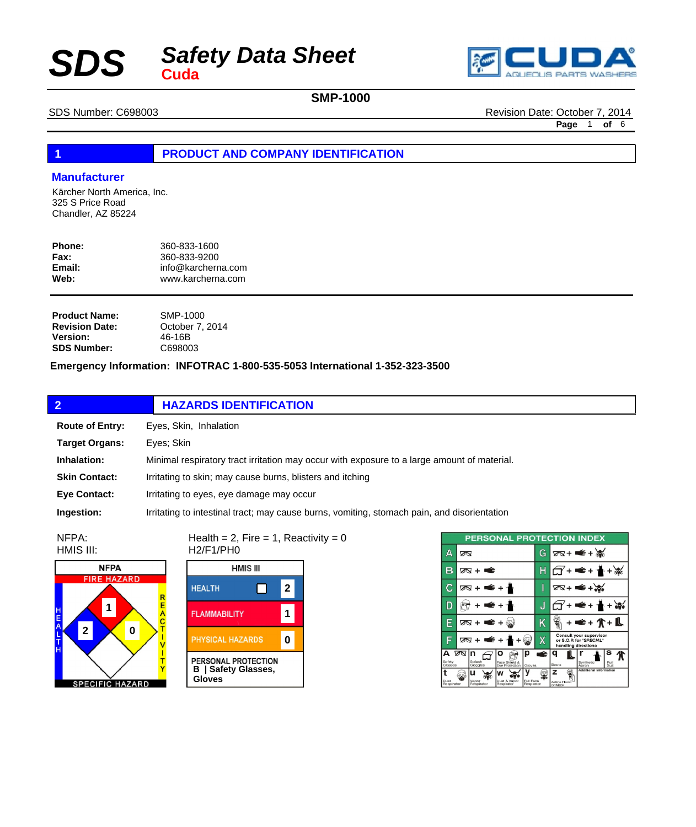## *Safety Data Sheet*  $SDS$



### **SMP-1000**

SDS Number: C698003 Revision Date: October 7, 2014

**Page** 1 **of** 6

### **1 PRODUCT AND COMPANY IDENTIFICATION**

#### **Manufacturer**

Kärcher North America, Inc. 325 S Price Road Chandler, AZ 85224

| Phone: | 360-833-1600       |
|--------|--------------------|
| Fax:   | 360-833-9200       |
| Email: | info@karcherna.com |
| Web:   | www.karcherna.com  |
|        |                    |

| <b>Product Name:</b>  | SMP-1000        |
|-----------------------|-----------------|
| <b>Revision Date:</b> | October 7, 2014 |
| <b>Version:</b>       | 46-16B          |
| <b>SDS Number:</b>    | C698003         |

#### **Emergency Information: INFOTRAC 1-800-535-5053 International 1-352-323-3500**

| $\overline{2}$         | <b>HAZARDS IDENTIFICATION</b>                                                               |  |
|------------------------|---------------------------------------------------------------------------------------------|--|
| <b>Route of Entry:</b> | Eyes, Skin, Inhalation                                                                      |  |
| <b>Target Organs:</b>  | Eves: Skin                                                                                  |  |
| Inhalation:            | Minimal respiratory tract irritation may occur with exposure to a large amount of material. |  |
| <b>Skin Contact:</b>   | Irritating to skin; may cause burns, blisters and itching                                   |  |
| <b>Eve Contact:</b>    | Irritating to eyes, eye damage may occur                                                    |  |
| Ingestion:             | Irritating to intestinal tract; may cause burns, vomiting, stomach pain, and disorientation |  |

NFPA: HMIS III:



**HMIS III HEALTH** П **2 1 FLAMMABILITY** PHYSICAL HAZARDS **0 PERSONAL PROTECTION**<br>**B** | Safety Glasses, **Gloves**

H2/F1/PH0

Health =  $2$ , Fire =  $1$ , Reactivity =  $0$ 

| <b>PERSONAL PROTECTION INDEX</b> |                                                            |                         |                                                                           |
|----------------------------------|------------------------------------------------------------|-------------------------|---------------------------------------------------------------------------|
| Д                                | ∞                                                          | G                       | $78 + 4 + 36$                                                             |
| в                                | ळ + ≢                                                      | Н                       | • م≝                                                                      |
| C                                | क्र + ≢ + ≁                                                | I                       | 78+ = €+৯                                                                 |
| D                                | €+                                                         | J                       | $\bullet$ +                                                               |
| Е                                | ⊘ष+ ■€ +                                                   | Κ                       | <b>∉+介+L</b>                                                              |
| F                                | $\Delta$<br>≝ +                                            | X                       | Consult your supervisor<br>or S.O.P. for "SPECIAL"<br>handling directions |
| А<br>Safety<br>Glasses           | তে In<br>р<br>Splash<br>Face Shield &<br>Goggles<br>Gloves | ⊯                       | s<br>Synthetic<br>Full<br>Boots<br>Apron<br>Suit                          |
| Dust<br>Respirator               | ''<br>Dust & Vapor<br>Vapor<br>Reapirator<br>Respirator    | Full Face<br>Respirator | Additional Information<br>z<br>Airline Hood<br>or Mask                    |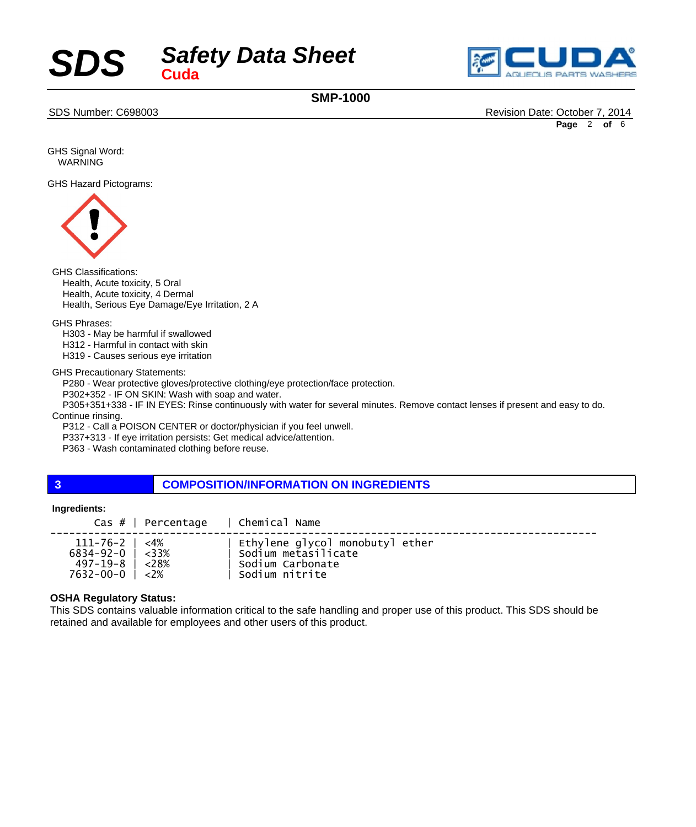



**SMP-1000**

SDS Number: C698003 Revision Date: October 7, 2014

**Page** 2 **of** 6

GHS Signal Word: WARNING

GHS Hazard Pictograms:



GHS Classifications:

 Health, Acute toxicity, 5 Oral Health, Acute toxicity, 4 Dermal Health, Serious Eye Damage/Eye Irritation, 2 A

GHS Phrases:

 H303 - May be harmful if swallowed H312 - Harmful in contact with skin

 H319 - Causes serious eye irritation

GHS Precautionary Statements:

 P280 - Wear protective gloves/protective clothing/eye protection/face protection.

 P302+352 - IF ON SKIN: Wash with soap and water.

 P305+351+338 - IF IN EYES: Rinse continuously with water for several minutes. Remove contact lenses if present and easy to do.

Continue rinsing.

 P312 - Call a POISON CENTER or doctor/physician if you feel unwell.

 P337+313 - If eye irritation persists: Get medical advice/attention.

 P363 - Wash contaminated clothing before reuse.

#### **3 COMPOSITION/INFORMATION ON INGREDIENTS**

#### **Ingredients:**

| $\text{Cas } #$   Percentage   Chemical Name |                                 |
|----------------------------------------------|---------------------------------|
| $111 - 76 - 2$   <4%                         | Ethylene glycol monobutyl ether |
| $6834 - 92 - 0$   <33%                       | Sodium metasilicate             |
| $497 - 19 - 8$   <28%                        | ∣ Sodium Carbonate              |
| $7632 - 00 - 0$   <2%                        | Sodium nitrite                  |

#### **OSHA Regulatory Status:**

This SDS contains valuable information critical to the safe handling and proper use of this product. This SDS should be retained and available for employees and other users of this product.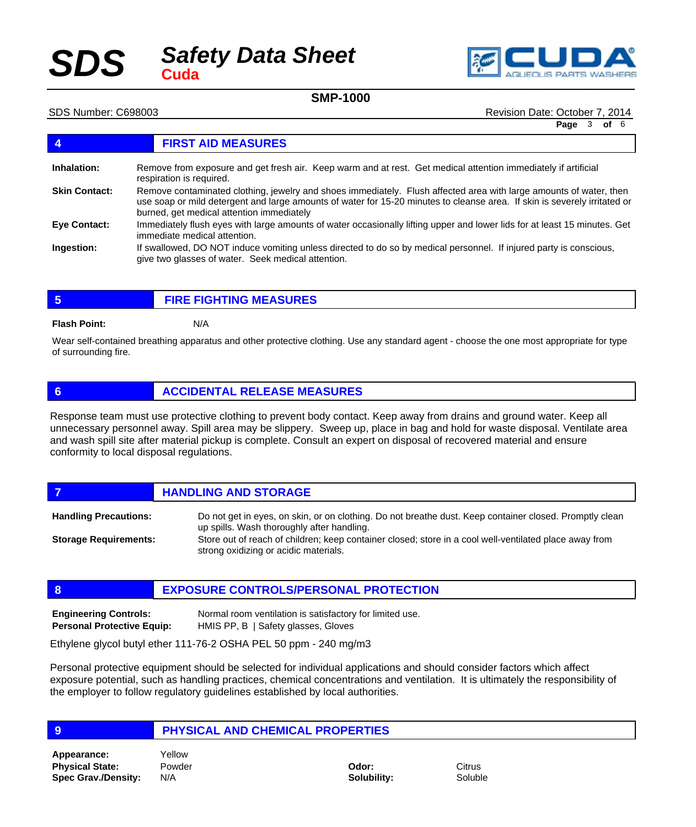# *Safety Data Sheet SDS* **Cuda**



#### **SMP-1000**

SDS Number: C698003 Revision Date: October 7, 2014

**Page** 3 **of** 6

## **4 FIRST AID MEASURES**

| Inhalation:          | Remove from exposure and get fresh air. Keep warm and at rest. Get medical attention immediately if artificial<br>respiration is required.                                                                                                                                                   |
|----------------------|----------------------------------------------------------------------------------------------------------------------------------------------------------------------------------------------------------------------------------------------------------------------------------------------|
| <b>Skin Contact:</b> | Remove contaminated clothing, jewelry and shoes immediately. Flush affected area with large amounts of water, then<br>use soap or mild detergent and large amounts of water for 15-20 minutes to cleanse area. If skin is severely irritated or<br>burned, get medical attention immediately |
| <b>Eve Contact:</b>  | Immediately flush eyes with large amounts of water occasionally lifting upper and lower lids for at least 15 minutes. Get<br>immediate medical attention.                                                                                                                                    |
| Ingestion:           | If swallowed, DO NOT induce vomiting unless directed to do so by medical personnel. If injured party is conscious,<br>give two glasses of water. Seek medical attention.                                                                                                                     |

**5 FIRE FIGHTING MEASURES**

#### **Flash Point:** N/A

Wear self-contained breathing apparatus and other protective clothing. Use any standard agent - choose the one most appropriate for type of surrounding fire.

#### **6 ACCIDENTAL RELEASE MEASURES**

Response team must use protective clothing to prevent body contact. Keep away from drains and ground water. Keep all unnecessary personnel away. Spill area may be slippery. Sweep up, place in bag and hold for waste disposal. Ventilate area and wash spill site after material pickup is complete. Consult an expert on disposal of recovered material and ensure conformity to local disposal regulations.

**FIGURE 12 IN STORAGE** Do not get in eyes, on skin, or on clothing. Do not breathe dust. Keep container closed. Promptly clean **Handling Precautions:**

up spills. Wash thoroughly after handling. Store out of reach of children; keep container closed; store in a cool well-ventilated place away from strong oxidizing or acidic materials. **Storage Requirements:**

#### **8 EXPOSURE CONTROLS/PERSONAL PROTECTION**

Normal room ventilation is satisfactory for limited use. HMIS PP, B | Safety glasses, Gloves **Engineering Controls: Personal Protective Equip:**

Ethylene glycol butyl ether 111-76-2 OSHA PEL 50 ppm - 240 mg/m3

Personal protective equipment should be selected for individual applications and should consider factors which affect exposure potential, such as handling practices, chemical concentrations and ventilation. It is ultimately the responsibility of the employer to follow regulatory guidelines established by local authorities.

#### **9 PHYSICAL AND CHEMICAL PROPERTIES**

**Physical State: Spec Grav./Density: Appearance:** Yellow

Powder N/A

**Odor: Solubility:** **Citrus** Soluble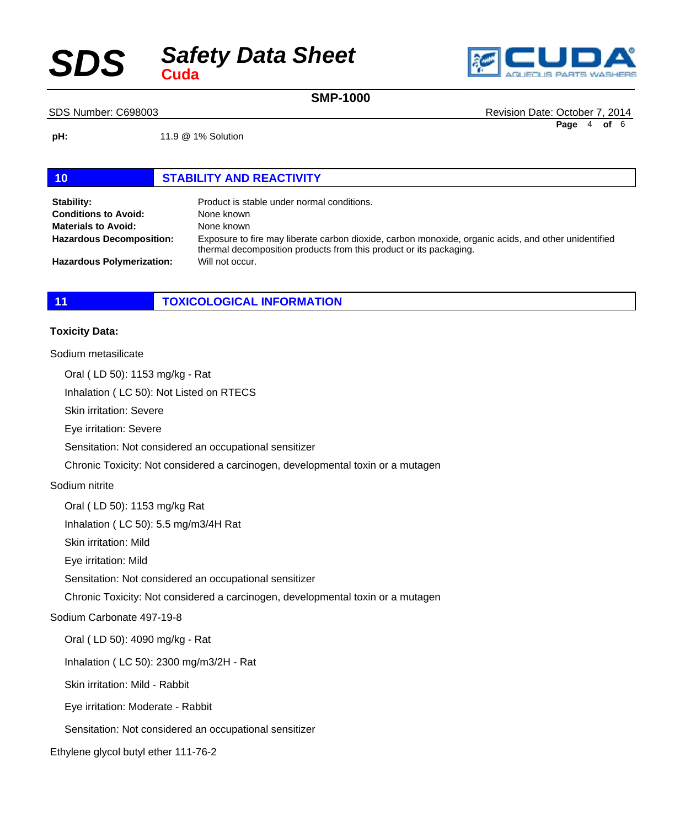## *Safety Data Sheet*  $SDS$



**SMP-1000**

SDS Number: C698003 Revision Date: October 7, 2014

**Page** 4 **of** 6

**pH:** 11.9 @ 1% Solution

#### **10 STABILITY AND REACTIVITY**

| Stability:<br><b>Conditions to Avoid:</b> | Product is stable under normal conditions.<br>None known                                                                                                                   |
|-------------------------------------------|----------------------------------------------------------------------------------------------------------------------------------------------------------------------------|
| <b>Materials to Avoid:</b>                | None known                                                                                                                                                                 |
| <b>Hazardous Decomposition:</b>           | Exposure to fire may liberate carbon dioxide, carbon monoxide, organic acids, and other unidentified<br>thermal decomposition products from this product or its packaging. |
| <b>Hazardous Polymerization:</b>          | Will not occur.                                                                                                                                                            |

### **11 TOXICOLOGICAL INFORMATION**

#### **Toxicity Data:**

## Sodium metasilicate Oral ( LD 50): 1153 mg/kg - Rat Inhalation ( LC 50): Not Listed on RTECS Skin irritation: Severe Eye irritation: Severe Sensitation: Not considered an occupational sensitizer Chronic Toxicity: Not considered a carcinogen, developmental toxin or a mutagen Sodium nitrite Oral ( LD 50): 1153 mg/kg Rat Inhalation ( LC 50): 5.5 mg/m3/4H Rat Skin irritation: Mild Eye irritation: Mild Sensitation: Not considered an occupational sensitizer Chronic Toxicity: Not considered a carcinogen, developmental toxin or a mutagen Sodium Carbonate 497-19-8 Oral ( LD 50): 4090 mg/kg - Rat Inhalation ( LC 50): 2300 mg/m3/2H - Rat Skin irritation: Mild - Rabbit Eye irritation: Moderate - Rabbit Sensitation: Not considered an occupational sensitizer Ethylene glycol butyl ether 111-76-2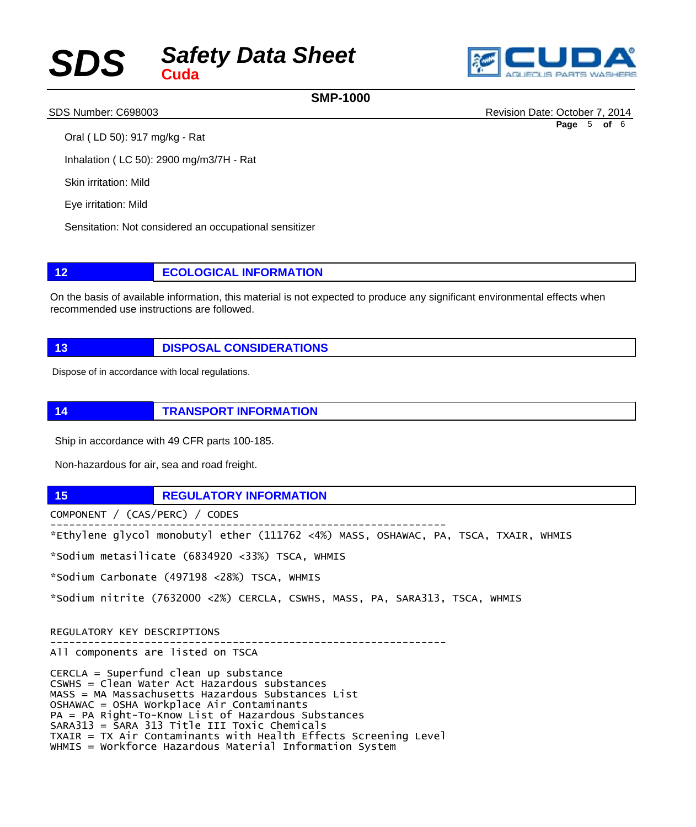# *Safety Data Sheet SDS* **Cuda**



### **SMP-1000**

SDS Number: C698003 Revision Date: October 7, 2014

Oral ( LD 50): 917 mg/kg - Rat

Inhalation ( LC 50): 2900 mg/m3/7H - Rat

Skin irritation: Mild

Eye irritation: Mild

Sensitation: Not considered an occupational sensitizer

**12 ECOLOGICAL INFORMATION**

On the basis of available information, this material is not expected to produce any significant environmental effects when recommended use instructions are followed.

**13 DISPOSAL CONSIDERATIONS**

Dispose of in accordance with local regulations.

**14 TRANSPORT INFORMATION**

Ship in accordance with 49 CFR parts 100-185.

Non-hazardous for air, sea and road freight.

**15 REGULATORY INFORMATION** 

COMPONENT / (CAS/PERC) / CODES

--------------------------------------------------------------- \*Ethylene glycol monobutyl ether (111762 <4%) MASS, OSHAWAC, PA, TSCA, TXAIR, WHMIS

---------------------------------------------------------------

\*Sodium metasilicate (6834920 <33%) TSCA, WHMIS

\*Sodium Carbonate (497198 <28%) TSCA, WHMIS

\*Sodium nitrite (7632000 <2%) CERCLA, CSWHS, MASS, PA, SARA313, TSCA, WHMIS

REGULATORY KEY DESCRIPTIONS

All components are listed on TSCA

CERCLA = Superfund clean up substance CSWHS = Clean Water Act Hazardous substances MASS = MA Massachusetts Hazardous Substances List OSHAWAC = OSHA Workplace Air Contaminants PA = PA Right-To-Know List of Hazardous Substances SARA313 = SARA 313 Title III Toxic Chemicals TXAIR = TX Air Contaminants with Health Effects Screening Level WHMIS = Workforce Hazardous Material Information System